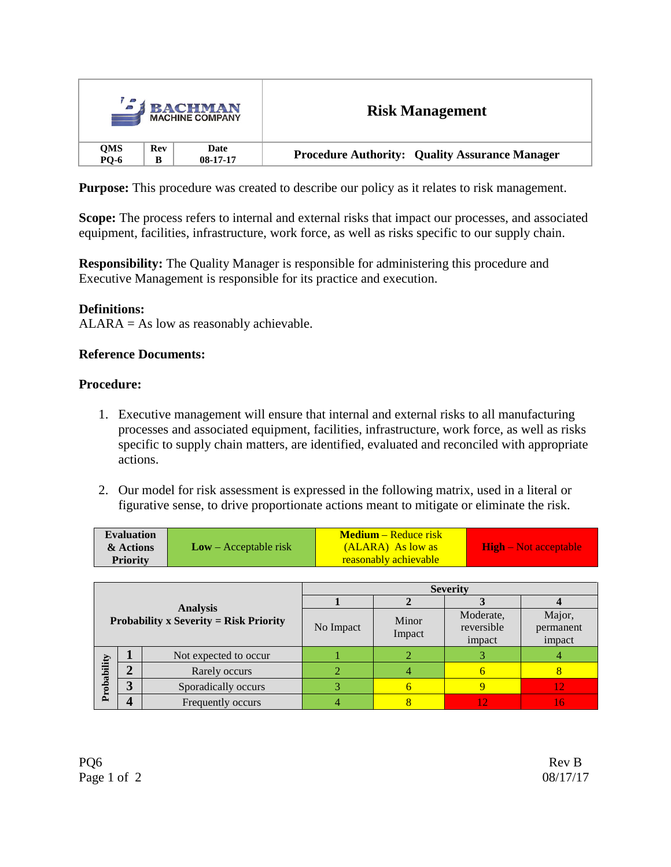| <b>BACHMAN</b><br><b>MACHINE COMPANY</b> |     |            | <b>Risk Management</b>                                |
|------------------------------------------|-----|------------|-------------------------------------------------------|
| <b>QMS</b>                               | Rev | Date       | <b>Procedure Authority: Quality Assurance Manager</b> |
| PQ-6                                     | B   | $08-17-17$ |                                                       |

**Purpose:** This procedure was created to describe our policy as it relates to risk management.

**Scope:** The process refers to internal and external risks that impact our processes, and associated equipment, facilities, infrastructure, work force, as well as risks specific to our supply chain.

**Responsibility:** The Quality Manager is responsible for administering this procedure and Executive Management is responsible for its practice and execution.

### **Definitions:**

 $ALARA = As$  low as reasonably achievable.

### **Reference Documents:**

### **Procedure:**

- 1. Executive management will ensure that internal and external risks to all manufacturing processes and associated equipment, facilities, infrastructure, work force, as well as risks specific to supply chain matters, are identified, evaluated and reconciled with appropriate actions.
- 2. Our model for risk assessment is expressed in the following matrix, used in a literal or figurative sense, to drive proportionate actions meant to mitigate or eliminate the risk.

| <b>Evaluation</b><br>& Actions | $Low - Acceptable risk$ | <b>Medium</b> – Reduce risk<br>(ALARA) As low as | <b>High</b> – Not acceptable |  |
|--------------------------------|-------------------------|--------------------------------------------------|------------------------------|--|
| <b>Priority</b>                |                         | <b>reasonably achievable</b>                     |                              |  |

|                                                                  |   | <b>Severity</b>       |           |                 |                                   |                               |
|------------------------------------------------------------------|---|-----------------------|-----------|-----------------|-----------------------------------|-------------------------------|
| <b>Analysis</b><br><b>Probability x Severity = Risk Priority</b> |   |                       |           |                 |                                   |                               |
|                                                                  |   |                       | No Impact | Minor<br>Impact | Moderate,<br>reversible<br>impact | Major,<br>permanent<br>impact |
| Probability                                                      |   | Not expected to occur |           |                 |                                   |                               |
|                                                                  |   | Rarely occurs         |           |                 |                                   |                               |
|                                                                  | ኅ | Sporadically occurs   |           |                 |                                   |                               |
|                                                                  |   | Frequently occurs     |           |                 |                                   |                               |